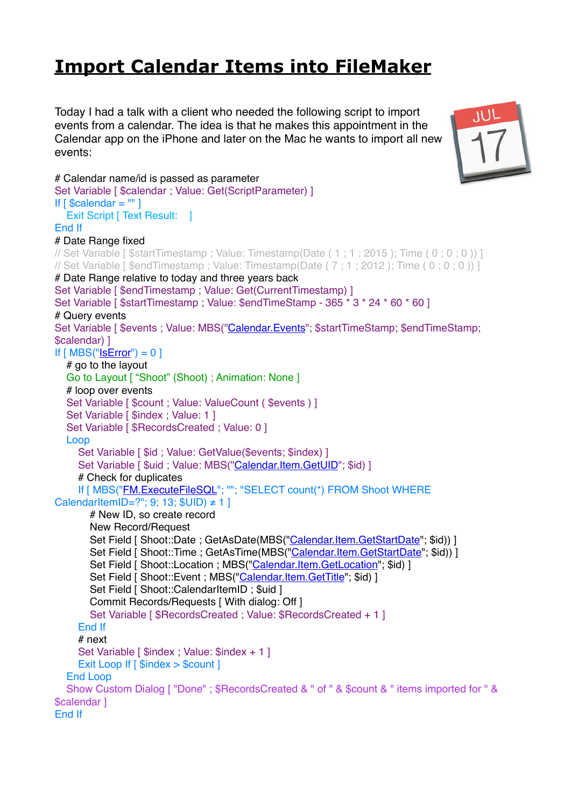## **[Import Calendar Items into FileMaker](https://www.mbs-plugins.com/archive/2017-11-03/Import_Calendar_Items_into_Fil/monkeybreadsoftware_blog_filemaker)**

Today I had a talk with a client who needed the following script to import events from a calendar. The idea is that he makes this appointment in the Calendar app on the iPhone and later on the Mac he wants to import all new events:



```
# Calendar name/id is passed as parameter
Set Variable [ $calendar ; Value: Get(ScriptParameter) ]
If [ $calendar = ^{\text{III}}]Exit Script [ Text Result: 1
End If
# Date Range fixed
// Set Variable [ $startTimestamp ; Value: Timestamp(Date ( 1 ; 1 ; 2015 ); Time ( 0 ; 0 ; 0 )) ]
// Set Variable [ $endTimestamp ; Value: Timestamp(Date ( 7 ; 1 ; 2012 ); Time ( 0 ; 0 ; 0 )) ]
# Date Range relative to today and three years back
Set Variable [ $endTimestamp : Value: Get(CurrentTimestamp) ]
Set Variable [ $startTimestamp ; Value: $endTimeStamp - 365 * 3 * 24 * 60 * 60 ]
# Query events
Set Variable [ $events ; Value: MBS("Calendar.Events"; $startTimeStamp; $endTimeStamp; 
$calendar) ]
If "IsError") = 0] # go to the layout
   Go to Layout [ "Shoot" (Shoot) ; Animation: None ]
   # loop over events
  Set Variable [ $count ; Value: ValueCount ( $events ) ]
  Set Variable [ $index ; Value: 1 ]
  Set Variable [ $RecordsCreated ; Value: 0 ]
   Loop
    Set Variable [ $id ; Value: GetValue($events; $index) ]
    "Calendar.Item.GetUID"; $id) ]
     # Check for duplicates
     If [ MBS("FM.ExecuteFileSQL"; ""; "SELECT count(*) FROM Shoot WHERE 
CalendarItemID=?"; 9; 13; $UID) \neq 1 # New ID, so create record
       New Record/Request
      "Calendar.Item.GetStartDate"; $id)) ]
      Calendar.Item.GetStartDate"; $id)) ]
      "Calendar.Item.GetLocation"; $id) ]
      Calendar.Item.GetTitle"; $id) ]
      Set Field [ Shoot::CalendarItemID ; $uid ]
       Commit Records/Requests [ With dialog: Off ]
       Set Variable [ $RecordsCreated ; Value: $RecordsCreated + 1 ]
     End If
     # next
    Set Variable [ $index ; Value: $index + 1 ]
    Exit Loop If [ $index > $count ]
   End Loop
   Show Custom Dialog [ "Done" ; $RecordsCreated & " of " & $count & " items imported for " & 
$calendar ]
End If
```